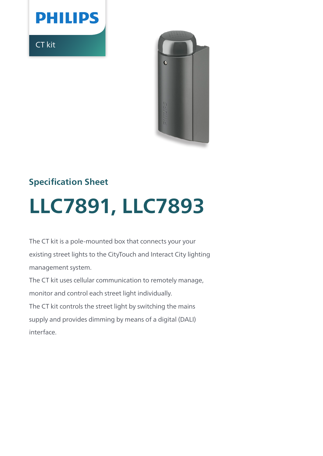

CT kit



# **Specification Sheet**

# **LLC7891, LLC7893**

The CT kit is a pole-mounted box that connects your your existing street lights to the CityTouch and Interact City lighting management system.

The CT kit uses cellular communication to remotely manage, monitor and control each street light individually. The CT kit controls the street light by switching the mains supply and provides dimming by means of a digital (DALI) interface.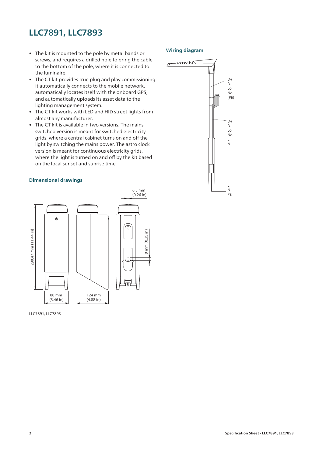# **LLC7891, LLC7893**

- The kit is mounted to the pole by metal bands or screws, and requires a drilled hole to bring the cable to the bottom of the pole, where it is connected to the luminaire.
- The CT kit provides true plug and play commissioning: it automatically connects to the mobile network, automatically locates itself with the onboard GPS, and automatically uploads its asset data to the lighting management system.
- The CT kit works with LED and HID street lights from almost any manufacturer.
- The CT kit is available in two versions. The mains switched version is meant for switched electricity grids, where a central cabinet turns on and off the light by switching the mains power. The astro clock version is meant for continuous electricity grids, where the light is turned on and off by the kit based on the local sunset and sunrise time.

### **Dimensional drawings**



LLC7891, LLC7893

## **Wiring diagram**

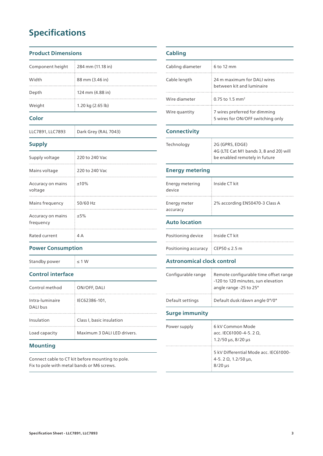# **Specifications**

## **Product Dimensions**

| $c_{\alpha}$ law |                             |
|------------------|-----------------------------|
| Weight           | 1.20 kg $(2.65 \text{ lb})$ |
| Depth            | 124 mm (4.88 in)            |
| Width            | 88 mm (3.46 in)             |
| Component height | 284 mm (11.18 in)           |

### **Color**

LLC7891, LLC7893 Dark Grey (RAL 7043)

## **Supply**

| Supply voltage                 | 220 to 240 Vac |
|--------------------------------|----------------|
| Mains voltage                  | 220 to 240 Vac |
| Accuracy on mains<br>voltage   | ±10%           |
| Mains frequency                | 50/60 Hz       |
| Accuracy on mains<br>frequency | $+5%$          |
| Rated current                  | ΔΔ             |

## **Cabling** Cabling diameter 6 to 12 mm Cable length 24 m maximum for DALI wires between kit and luminaire Wire diameter 0.75 to 1.5 mm<sup>2</sup> Wire quantity 7 wires preferred for dimming 5 wires for ON/OFF switching only **Connectivity** Technology 2G (GPRS, EDGE) 4G (LTE Cat M1 bands 3, 8 and 20) will be enabled remotely in future **Energy metering** Energy metering device Inside CT kit

## **Auto location**

Energy meter accuracy

| Positioning device   | Inside CT kit  |
|----------------------|----------------|
| Positioning accuracy | ∈CEP50 ≤ 2.5 m |

2% according EN50470-3 Class A

## **Astronomical clock control**

## Configurable range Remote configurable time offset range -120 to 120 minutes, sun elevation angle range -25 to 25° Default settings Default dusk/dawn angle 0°/0°

## **Surge immunity**

| Power supply | 6 kV Common Mode<br>acc. IEC61000-4-5. 2 Ω,<br>$1.2/50 \,\mu s$ , 8/20 $\mu s$    |
|--------------|-----------------------------------------------------------------------------------|
|              | 5 kV Differential Mode acc. IEC61000-<br>$4-5.2 \Omega$ , 1.2/50 µs,<br>$8/20$ µs |

## Standby power  $\leq 1$  W

**Power Consumption**

## **Control interface**

| Control method              | ON/OFF, DALI                |
|-----------------------------|-----------------------------|
| Intra-luminaire<br>DALI bus | IEC62386-101.               |
| Insulation                  | Class I, basic insulation   |
| Load capacity               | Maximum 3 DALI LED drivers. |

## **Mounting**

Connect cable to CT kit before mounting to pole. Fix to pole with metal bands or M6 screws.